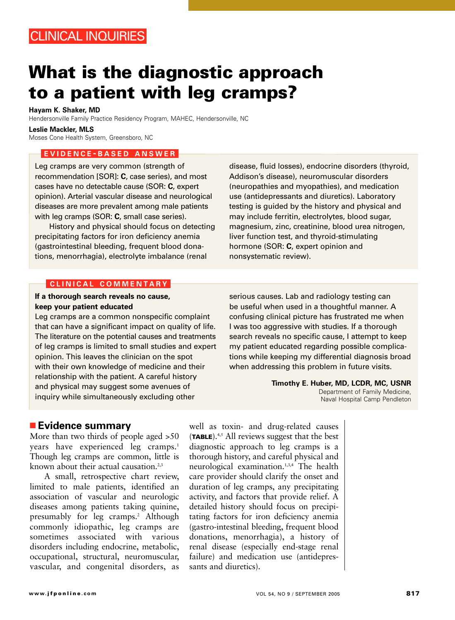# **What is the diagnostic approach to a patient with leg cramps?**

#### **Hayam K. Shaker, MD**

Hendersonville Family Practice Residency Program, MAHEC, Hendersonville, NC

#### **Leslie Mackler, MLS**

Moses Cone Health System, Greensboro, NC

#### **EVIDENCE - BASED ANSWER**

Leg cramps are very common (strength of recommendation [SOR]: **C**, case series), and most cases have no detectable cause (SOR: **C**, expert opinion). Arterial vascular disease and neurological diseases are more prevalent among male patients with leg cramps (SOR: **C**, small case series).

History and physical should focus on detecting precipitating factors for iron deficiency anemia (gastrointestinal bleeding, frequent blood donations, menorrhagia), electrolyte imbalance (renal

disease, fluid losses), endocrine disorders (thyroid, Addison's disease), neuromuscular disorders (neuropathies and myopathies), and medication use (antidepressants and diuretics). Laboratory testing is guided by the history and physical and may include ferritin, electrolytes, blood sugar, magnesium, zinc, creatinine, blood urea nitrogen, liver function test, and thyroid-stimulating hormone (SOR: **C**, expert opinion and nonsystematic review).

#### **CLINICAL COMMENTARY**

## **If a thorough search reveals no cause, keep your patient educated**

Leg cramps are a common nonspecific complaint that can have a significant impact on quality of life. The literature on the potential causes and treatments of leg cramps is limited to small studies and expert opinion. This leaves the clinician on the spot with their own knowledge of medicine and their relationship with the patient. A careful history and physical may suggest some avenues of inquiry while simultaneously excluding other

serious causes. Lab and radiology testing can be useful when used in a thoughtful manner. A confusing clinical picture has frustrated me when I was too aggressive with studies. If a thorough search reveals no specific cause, I attempt to keep my patient educated regarding possible complications while keeping my differential diagnosis broad when addressing this problem in future visits.

> **Timothy E. Huber, MD, LCDR, MC, USNR** Department of Family Medicine, Naval Hospital Camp Pendleton

## ■ **Evidence summary**

More than two thirds of people aged >50 years have experienced leg cramps.<sup>1</sup> Though leg cramps are common, little is known about their actual causation. $2,3$ 

A small, retrospective chart review, limited to male patients, identified an association of vascular and neurologic diseases among patients taking quinine, presumably for leg cramps.<sup>2</sup> Although commonly idiopathic, leg cramps are sometimes associated with various disorders including endocrine, metabolic, occupational, structural, neuromuscular, vascular, and congenital disorders, as

well as toxin- and drug-related causes (**TABLE**).4,5 All reviews suggest that the best diagnostic approach to leg cramps is a thorough history, and careful physical and neurological examination.1,3,4 The health care provider should clarify the onset and duration of leg cramps, any precipitating activity, and factors that provide relief. A detailed history should focus on precipitating factors for iron deficiency anemia (gastro-intestinal bleeding, frequent blood donations, menorrhagia), a history of renal disease (especially end-stage renal failure) and medication use (antidepressants and diuretics).